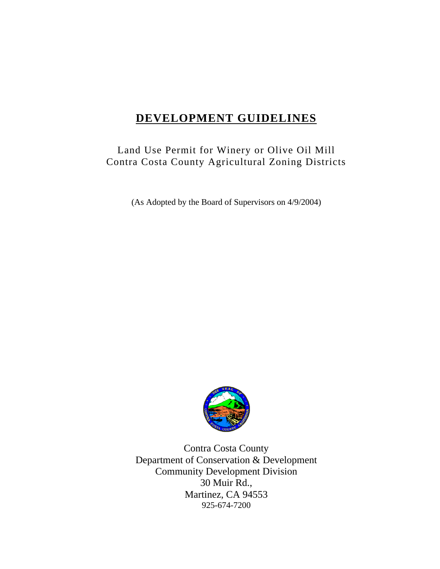# **DEVELOPMENT GUIDELINES**

# Land Use Permit for Winery or Olive Oil Mill Contra Costa County Agricultural Zoning Districts

(As Adopted by the Board of Supervisors on 4/9/2004)



Contra Costa County Department of Conservation & Development Community Development Division 30 Muir Rd., Martinez, CA 94553 925-674-7200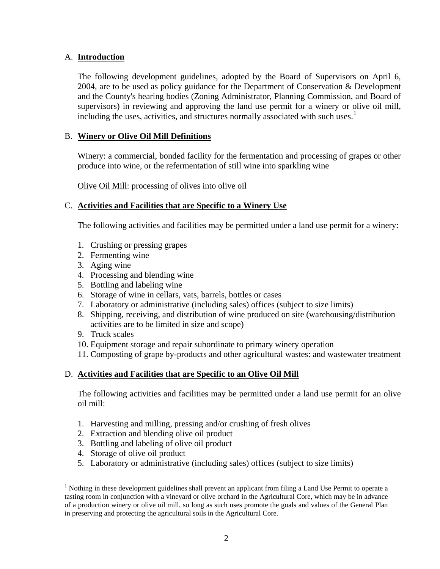## A. **Introduction**

The following development guidelines, adopted by the Board of Supervisors on April 6, 2004, are to be used as policy guidance for the Department of Conservation & Development and the County's hearing bodies (Zoning Administrator, Planning Commission, and Board of supervisors) in reviewing and approving the land use permit for a winery or olive oil mill, including the uses, activities, and structures normally associated with such uses. $1$ 

### B. **Winery or Olive Oil Mill Definitions**

Winery: a commercial, bonded facility for the fermentation and processing of grapes or other produce into wine, or the refermentation of still wine into sparkling wine

Olive Oil Mill: processing of olives into olive oil

#### C. **Activities and Facilities that are Specific to a Winery Use**

The following activities and facilities may be permitted under a land use permit for a winery:

- 1. Crushing or pressing grapes
- 2. Fermenting wine
- 3. Aging wine
- 4. Processing and blending wine
- 5. Bottling and labeling wine
- 6. Storage of wine in cellars, vats, barrels, bottles or cases
- 7. Laboratory or administrative (including sales) offices (subject to size limits)
- 8. Shipping, receiving, and distribution of wine produced on site (warehousing/distribution activities are to be limited in size and scope)
- 9. Truck scales

 $\overline{a}$ 

- 10. Equipment storage and repair subordinate to primary winery operation
- 11. Composting of grape by-products and other agricultural wastes: and wastewater treatment

#### D. **Activities and Facilities that are Specific to an Olive Oil Mill**

The following activities and facilities may be permitted under a land use permit for an olive oil mill:

- 1. Harvesting and milling, pressing and/or crushing of fresh olives
- 2. Extraction and blending olive oil product
- 3. Bottling and labeling of olive oil product
- 4. Storage of olive oil product
- 5. Laboratory or administrative (including sales) offices (subject to size limits)

<span id="page-1-0"></span> $<sup>1</sup>$  Nothing in these development guidelines shall prevent an applicant from filing a Land Use Permit to operate a</sup> tasting room in conjunction with a vineyard or olive orchard in the Agricultural Core, which may be in advance of a production winery or olive oil mill, so long as such uses promote the goals and values of the General Plan in preserving and protecting the agricultural soils in the Agricultural Core.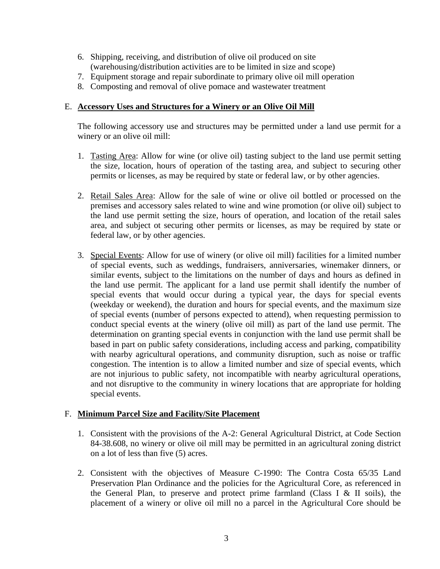- 6. Shipping, receiving, and distribution of olive oil produced on site (warehousing/distribution activities are to be limited in size and scope)
- 7. Equipment storage and repair subordinate to primary olive oil mill operation
- 8. Composting and removal of olive pomace and wastewater treatment

### E. **Accessory Uses and Structures for a Winery or an Olive Oil Mill**

The following accessory use and structures may be permitted under a land use permit for a winery or an olive oil mill:

- 1. Tasting Area: Allow for wine (or olive oil) tasting subject to the land use permit setting the size, location, hours of operation of the tasting area, and subject to securing other permits or licenses, as may be required by state or federal law, or by other agencies.
- 2. Retail Sales Area: Allow for the sale of wine or olive oil bottled or processed on the premises and accessory sales related to wine and wine promotion (or olive oil) subject to the land use permit setting the size, hours of operation, and location of the retail sales area, and subject ot securing other permits or licenses, as may be required by state or federal law, or by other agencies.
- 3. Special Events: Allow for use of winery (or olive oil mill) facilities for a limited number of special events, such as weddings, fundraisers, anniversaries, winemaker dinners, or similar events, subject to the limitations on the number of days and hours as defined in the land use permit. The applicant for a land use permit shall identify the number of special events that would occur during a typical year, the days for special events (weekday or weekend), the duration and hours for special events, and the maximum size of special events (number of persons expected to attend), when requesting permission to conduct special events at the winery (olive oil mill) as part of the land use permit. The determination on granting special events in conjunction with the land use permit shall be based in part on public safety considerations, including access and parking, compatibility with nearby agricultural operations, and community disruption, such as noise or traffic congestion. The intention is to allow a limited number and size of special events, which are not injurious to public safety, not incompatible with nearby agricultural operations, and not disruptive to the community in winery locations that are appropriate for holding special events.

## F. **Minimum Parcel Size and Facility/Site Placement**

- 1. Consistent with the provisions of the A-2: General Agricultural District, at Code Section 84-38.608, no winery or olive oil mill may be permitted in an agricultural zoning district on a lot of less than five (5) acres.
- 2. Consistent with the objectives of Measure C-1990: The Contra Costa 65/35 Land Preservation Plan Ordinance and the policies for the Agricultural Core, as referenced in the General Plan, to preserve and protect prime farmland (Class I  $&$  II soils), the placement of a winery or olive oil mill no a parcel in the Agricultural Core should be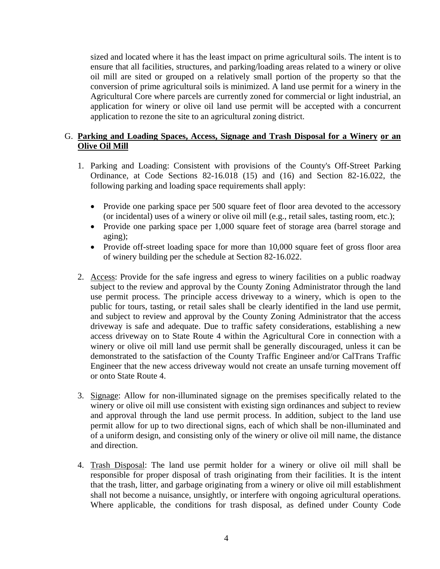sized and located where it has the least impact on prime agricultural soils. The intent is to ensure that all facilities, structures, and parking/loading areas related to a winery or olive oil mill are sited or grouped on a relatively small portion of the property so that the conversion of prime agricultural soils is minimized. A land use permit for a winery in the Agricultural Core where parcels are currently zoned for commercial or light industrial, an application for winery or olive oil land use permit will be accepted with a concurrent application to rezone the site to an agricultural zoning district.

#### G. **Parking and Loading Spaces, Access, Signage and Trash Disposal for a Winery or an Olive Oil Mill**

- 1. Parking and Loading: Consistent with provisions of the County's Off-Street Parking Ordinance, at Code Sections 82-16.018 (15) and (16) and Section 82-16.022, the following parking and loading space requirements shall apply:
	- Provide one parking space per 500 square feet of floor area devoted to the accessory (or incidental) uses of a winery or olive oil mill (e.g., retail sales, tasting room, etc.);
	- Provide one parking space per 1,000 square feet of storage area (barrel storage and aging);
	- Provide off-street loading space for more than 10,000 square feet of gross floor area of winery building per the schedule at Section 82-16.022.
- 2. Access: Provide for the safe ingress and egress to winery facilities on a public roadway subject to the review and approval by the County Zoning Administrator through the land use permit process. The principle access driveway to a winery, which is open to the public for tours, tasting, or retail sales shall be clearly identified in the land use permit, and subject to review and approval by the County Zoning Administrator that the access driveway is safe and adequate. Due to traffic safety considerations, establishing a new access driveway on to State Route 4 within the Agricultural Core in connection with a winery or olive oil mill land use permit shall be generally discouraged, unless it can be demonstrated to the satisfaction of the County Traffic Engineer and/or CalTrans Traffic Engineer that the new access driveway would not create an unsafe turning movement off or onto State Route 4.
- 3. Signage: Allow for non-illuminated signage on the premises specifically related to the winery or olive oil mill use consistent with existing sign ordinances and subject to review and approval through the land use permit process. In addition, subject to the land use permit allow for up to two directional signs, each of which shall be non-illuminated and of a uniform design, and consisting only of the winery or olive oil mill name, the distance and direction.
- 4. Trash Disposal: The land use permit holder for a winery or olive oil mill shall be responsible for proper disposal of trash originating from their facilities. It is the intent that the trash, litter, and garbage originating from a winery or olive oil mill establishment shall not become a nuisance, unsightly, or interfere with ongoing agricultural operations. Where applicable, the conditions for trash disposal, as defined under County Code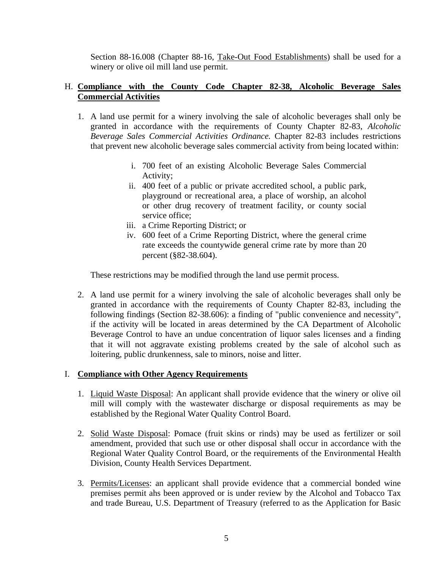Section 88-16.008 (Chapter 88-16, Take-Out Food Establishments) shall be used for a winery or olive oil mill land use permit.

#### H. **Compliance with the County Code Chapter 82-38, Alcoholic Beverage Sales Commercial Activities**

- 1. A land use permit for a winery involving the sale of alcoholic beverages shall only be granted in accordance with the requirements of County Chapter 82-83, *Alcoholic Beverage Sales Commercial Activities Ordinance.* Chapter 82-83 includes restrictions that prevent new alcoholic beverage sales commercial activity from being located within:
	- i. 700 feet of an existing Alcoholic Beverage Sales Commercial Activity;
	- ii. 400 feet of a public or private accredited school, a public park, playground or recreational area, a place of worship, an alcohol or other drug recovery of treatment facility, or county social service office;
	- iii. a Crime Reporting District; or
	- iv. 600 feet of a Crime Reporting District, where the general crime rate exceeds the countywide general crime rate by more than 20 percent (§82-38.604).

These restrictions may be modified through the land use permit process.

2. A land use permit for a winery involving the sale of alcoholic beverages shall only be granted in accordance with the requirements of County Chapter 82-83, including the following findings (Section 82-38.606): a finding of "public convenience and necessity", if the activity will be located in areas determined by the CA Department of Alcoholic Beverage Control to have an undue concentration of liquor sales licenses and a finding that it will not aggravate existing problems created by the sale of alcohol such as loitering, public drunkenness, sale to minors, noise and litter.

#### I. **Compliance with Other Agency Requirements**

- 1. Liquid Waste Disposal: An applicant shall provide evidence that the winery or olive oil mill will comply with the wastewater discharge or disposal requirements as may be established by the Regional Water Quality Control Board.
- 2. Solid Waste Disposal: Pomace (fruit skins or rinds) may be used as fertilizer or soil amendment, provided that such use or other disposal shall occur in accordance with the Regional Water Quality Control Board, or the requirements of the Environmental Health Division, County Health Services Department.
- 3. Permits/Licenses: an applicant shall provide evidence that a commercial bonded wine premises permit ahs been approved or is under review by the Alcohol and Tobacco Tax and trade Bureau, U.S. Department of Treasury (referred to as the Application for Basic